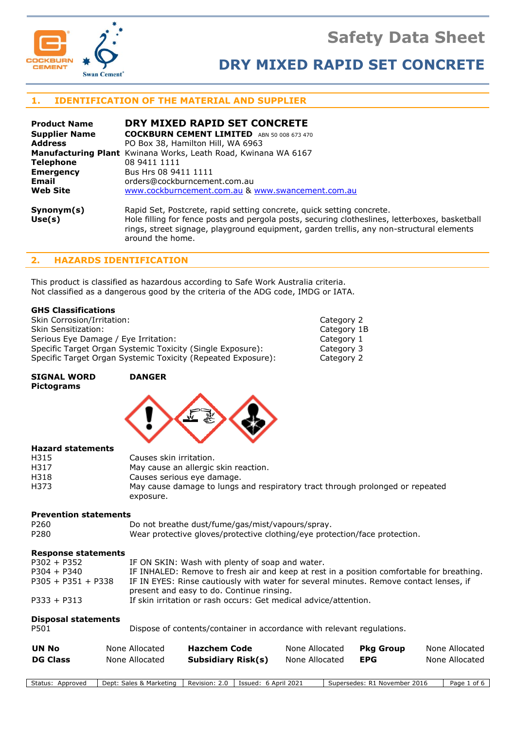



Category 2 Category 1B Category 1 Category 3 Category 2

# **1. IDENTIFICATION OF THE MATERIAL AND SUPPLIER**

| <b>Product Name</b>  | DRY MIXED RAPID SET CONCRETE                                                                                                                                                                                                                                                            |
|----------------------|-----------------------------------------------------------------------------------------------------------------------------------------------------------------------------------------------------------------------------------------------------------------------------------------|
| <b>Supplier Name</b> | <b>COCKBURN CEMENT LIMITED</b> ABN 50 008 673 470                                                                                                                                                                                                                                       |
| <b>Address</b>       | PO Box 38, Hamilton Hill, WA 6963                                                                                                                                                                                                                                                       |
|                      | <b>Manufacturing Plant</b> Kwinana Works, Leath Road, Kwinana WA 6167                                                                                                                                                                                                                   |
| <b>Telephone</b>     | 08 9411 1111                                                                                                                                                                                                                                                                            |
| <b>Emergency</b>     | Bus Hrs 08 9411 1111                                                                                                                                                                                                                                                                    |
| <b>Email</b>         | orders@cockburncement.com.au                                                                                                                                                                                                                                                            |
| <b>Web Site</b>      | www.cockburncement.com.au & www.swancement.com.au                                                                                                                                                                                                                                       |
| Symonym(s)<br>Use(s) | Rapid Set, Postcrete, rapid setting concrete, quick setting concrete.<br>Hole filling for fence posts and pergola posts, securing clotheslines, letterboxes, basketball<br>rings, street signage, playground equipment, garden trellis, any non-structural elements<br>around the home. |

## **2. HAZARDS IDENTIFICATION**

This product is classified as hazardous according to Safe Work Australia criteria. Not classified as a dangerous good by the criteria of the ADG code, IMDG or IATA.

### **GHS Classifications**

| Skin Corrosion/Irritation:                                   |  |
|--------------------------------------------------------------|--|
| Skin Sensitization:                                          |  |
| Serious Eye Damage / Eye Irritation:                         |  |
| Specific Target Organ Systemic Toxicity (Single Exposure):   |  |
| Specific Target Organ Systemic Toxicity (Repeated Exposure): |  |

| SIGNAL WORD | <b>DANGER</b> |
|-------------|---------------|
| Pictograms  |               |



### **Hazard statements**

| H315 | Causes skin irritation.                                                       |
|------|-------------------------------------------------------------------------------|
| H317 | May cause an allergic skin reaction.                                          |
| H318 | Causes serious eye damage.                                                    |
| H373 | May cause damage to lungs and respiratory tract through prolonged or repeated |
|      | exposure.                                                                     |

### **Prevention statements**

P260 Do not breathe dust/fume/gas/mist/vapours/spray. P280 Wear protective gloves/protective clothing/eye protection/face protection.

#### **Response statements**

| $P302 + P352$        | IF ON SKIN: Wash with plenty of soap and water.                                           |
|----------------------|-------------------------------------------------------------------------------------------|
| $P304 + P340$        | IF INHALED: Remove to fresh air and keep at rest in a position comfortable for breathing. |
| $P305 + P351 + P338$ | IF IN EYES: Rinse cautiously with water for several minutes. Remove contact lenses, if    |
|                      | present and easy to do. Continue rinsing.                                                 |
| $P333 + P313$        | If skin irritation or rash occurs: Get medical advice/attention.                          |

#### **Disposal statements**

| P501 | Dispose of contents/container in accordance with relevant regulations. |  |
|------|------------------------------------------------------------------------|--|
|------|------------------------------------------------------------------------|--|

| UN No           | None Allocated | <b>Hazchem Code</b>       | None Allocated | Pka Group | None Allocated |
|-----------------|----------------|---------------------------|----------------|-----------|----------------|
| <b>DG Class</b> | None Allocated | <b>Subsidiary Risk(s)</b> | None Allocated | EPG       | None Allocated |

Status: Approved | Dept: Sales & Marketing | Revision: 2.0 | Issued: 6 April 2021 | Supersedes: R1 November 2016 | Page 1 of 6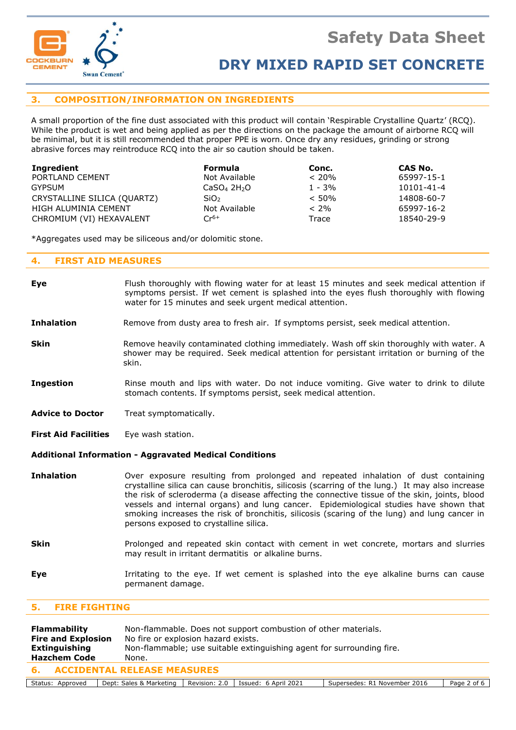

# **3. COMPOSITION/INFORMATION ON INGREDIENTS**

A small proportion of the fine dust associated with this product will contain 'Respirable Crystalline Quartz' (RCQ). While the product is wet and being applied as per the directions on the package the amount of airborne RCQ will be minimal, but it is still recommended that proper PPE is worn. Once dry any residues, grinding or strong abrasive forces may reintroduce RCQ into the air so caution should be taken.

| Ingredient                  | <b>Formula</b>                      | Conc.     | CAS No.          |
|-----------------------------|-------------------------------------|-----------|------------------|
| PORTLAND CEMENT             | Not Available                       | $< 20\%$  | 65997-15-1       |
| GYPSUM                      | CaSO <sub>4</sub> 2H <sub>2</sub> O | $1 - 3\%$ | $10101 - 41 - 4$ |
| CRYSTALLINE SILICA (QUARTZ) | SiO <sub>2</sub>                    | $< 50\%$  | 14808-60-7       |
| HIGH ALUMINIA CEMENT        | Not Available                       | $< 2\%$   | 65997-16-2       |
| CHROMIUM (VI) HEXAVALENT    | $Cr^{6+}$                           | Trace     | 18540-29-9       |

\*Aggregates used may be siliceous and/or dolomitic stone.

## **4. FIRST AID MEASURES**

| Eye                         | Flush thoroughly with flowing water for at least 15 minutes and seek medical attention if<br>symptoms persist. If wet cement is splashed into the eyes flush thoroughly with flowing<br>water for 15 minutes and seek urgent medical attention.                                                                                                                                                                                                                                                                          |
|-----------------------------|--------------------------------------------------------------------------------------------------------------------------------------------------------------------------------------------------------------------------------------------------------------------------------------------------------------------------------------------------------------------------------------------------------------------------------------------------------------------------------------------------------------------------|
| <b>Inhalation</b>           | Remove from dusty area to fresh air. If symptoms persist, seek medical attention.                                                                                                                                                                                                                                                                                                                                                                                                                                        |
| <b>Skin</b>                 | Remove heavily contaminated clothing immediately. Wash off skin thoroughly with water. A<br>shower may be required. Seek medical attention for persistant irritation or burning of the<br>skin.                                                                                                                                                                                                                                                                                                                          |
| <b>Ingestion</b>            | Rinse mouth and lips with water. Do not induce vomiting. Give water to drink to dilute<br>stomach contents. If symptoms persist, seek medical attention.                                                                                                                                                                                                                                                                                                                                                                 |
| <b>Advice to Doctor</b>     | Treat symptomatically.                                                                                                                                                                                                                                                                                                                                                                                                                                                                                                   |
| <b>First Aid Facilities</b> | Eye wash station.                                                                                                                                                                                                                                                                                                                                                                                                                                                                                                        |
|                             | <b>Additional Information - Aggravated Medical Conditions</b>                                                                                                                                                                                                                                                                                                                                                                                                                                                            |
| <b>Inhalation</b>           | Over exposure resulting from prolonged and repeated inhalation of dust containing<br>crystalline silica can cause bronchitis, silicosis (scarring of the lung.) It may also increase<br>the risk of scleroderma (a disease affecting the connective tissue of the skin, joints, blood<br>vessels and internal organs) and lung cancer. Epidemiological studies have shown that<br>smoking increases the risk of bronchitis, silicosis (scaring of the lung) and lung cancer in<br>persons exposed to crystalline silica. |
| <b>Skin</b>                 | Prolonged and repeated skin contact with cement in wet concrete, mortars and slurries<br>may result in irritant dermatitis or alkaline burns.                                                                                                                                                                                                                                                                                                                                                                            |
| Eye                         | Irritating to the eye. If wet cement is splashed into the eye alkaline burns can cause<br>permanent damage.                                                                                                                                                                                                                                                                                                                                                                                                              |

### **5. FIRE FIGHTING**

| Flammability<br><b>Fire and Explosion</b><br><b>Extinguishing</b><br><b>Hazchem Code</b> | Non-flammable. Does not support combustion of other materials.<br>No fire or explosion hazard exists.<br>Non-flammable; use suitable extinguishing agent for surrounding fire.<br>None. |               |                      |                              |                     |
|------------------------------------------------------------------------------------------|-----------------------------------------------------------------------------------------------------------------------------------------------------------------------------------------|---------------|----------------------|------------------------------|---------------------|
| 6. ACCIDENTAL RELEASE MEASURES                                                           |                                                                                                                                                                                         |               |                      |                              |                     |
| Status: Approved                                                                         | Dept: Sales & Marketing                                                                                                                                                                 | Revision: 2.0 | Issued: 6 April 2021 | Supersedes: R1 November 2016 | Page 2 of 6 $\vert$ |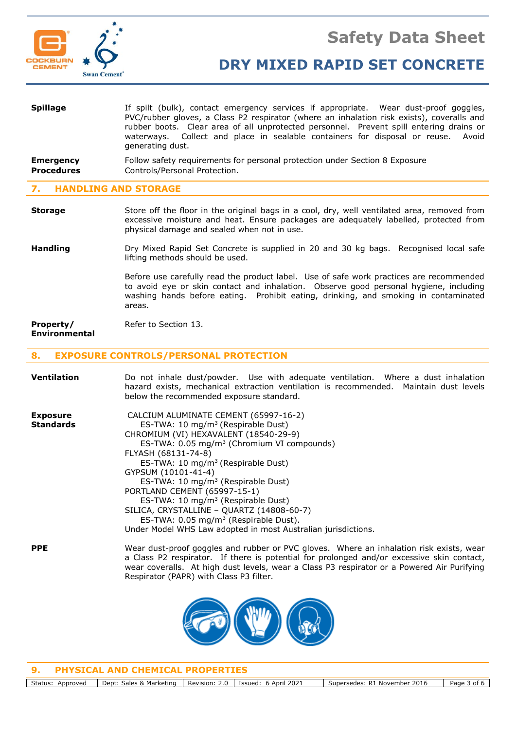

**DRY MIXED RAPID SET CONCRETE**

| <b>Emergency</b>  | Follow safety requirements for personal protection under Section 8 Exposure                                                                                                                                                                                                                                                                                                          |
|-------------------|--------------------------------------------------------------------------------------------------------------------------------------------------------------------------------------------------------------------------------------------------------------------------------------------------------------------------------------------------------------------------------------|
| <b>Procedures</b> | Controls/Personal Protection.                                                                                                                                                                                                                                                                                                                                                        |
| <b>Spillage</b>   | If spilt (bulk), contact emergency services if appropriate. Wear dust-proof goggles,<br>PVC/rubber gloves, a Class P2 respirator (where an inhalation risk exists), coveralls and<br>rubber boots. Clear area of all unprotected personnel. Prevent spill entering drains or<br>waterways. Collect and place in sealable containers for disposal or reuse. Avoid<br>generating dust. |

### **7. HANDLING AND STORAGE**

**Storage** Store off the floor in the original bags in a cool, dry, well ventilated area, removed from excessive moisture and heat. Ensure packages are adequately labelled, protected from physical damage and sealed when not in use.

**Handling** Dry Mixed Rapid Set Concrete is supplied in 20 and 30 kg bags. Recognised local safe lifting methods should be used.

> Before use carefully read the product label. Use of safe work practices are recommended to avoid eye or skin contact and inhalation. Observe good personal hygiene, including washing hands before eating. Prohibit eating, drinking, and smoking in contaminated areas.

#### **Property/** Refer to Section 13. **Environmental**

### **8. EXPOSURE CONTROLS/PERSONAL PROTECTION**

| <b>Ventilation</b>                  | Do not inhale dust/powder. Use with adequate ventilation. Where a dust inhalation<br>hazard exists, mechanical extraction ventilation is recommended. Maintain dust levels<br>below the recommended exposure standard.                                                                                                                                                                                                                                                                                                                                                                           |
|-------------------------------------|--------------------------------------------------------------------------------------------------------------------------------------------------------------------------------------------------------------------------------------------------------------------------------------------------------------------------------------------------------------------------------------------------------------------------------------------------------------------------------------------------------------------------------------------------------------------------------------------------|
| <b>Exposure</b><br><b>Standards</b> | CALCIUM ALUMINATE CEMENT (65997-16-2)<br>ES-TWA: 10 mg/m <sup>3</sup> (Respirable Dust)<br>CHROMIUM (VI) HEXAVALENT (18540-29-9)<br>ES-TWA: 0.05 mg/m <sup>3</sup> (Chromium VI compounds)<br>FLYASH (68131-74-8)<br>ES-TWA: 10 mg/m <sup>3</sup> (Respirable Dust)<br>GYPSUM (10101-41-4)<br>ES-TWA: 10 mg/m <sup>3</sup> (Respirable Dust)<br>PORTLAND CEMENT (65997-15-1)<br>ES-TWA: 10 mg/m <sup>3</sup> (Respirable Dust)<br>SILICA, CRYSTALLINE - QUARTZ (14808-60-7)<br>ES-TWA: $0.05 \text{ mg/m}^3$ (Respirable Dust).<br>Under Model WHS Law adopted in most Australian jurisdictions. |
| <b>PPE</b>                          | Wear dust-proof goggles and rubber or PVC gloves. Where an inhalation risk exists, wear<br>a Class P2 respirator. If there is potential for prolonged and/or excessive skin contact,<br>wear coveralls. At high dust levels, wear a Class P3 respirator or a Powered Air Purifying<br>Respirator (PAPR) with Class P3 filter.                                                                                                                                                                                                                                                                    |



**9. PHYSICAL AND CHEMICAL PROPERTIES**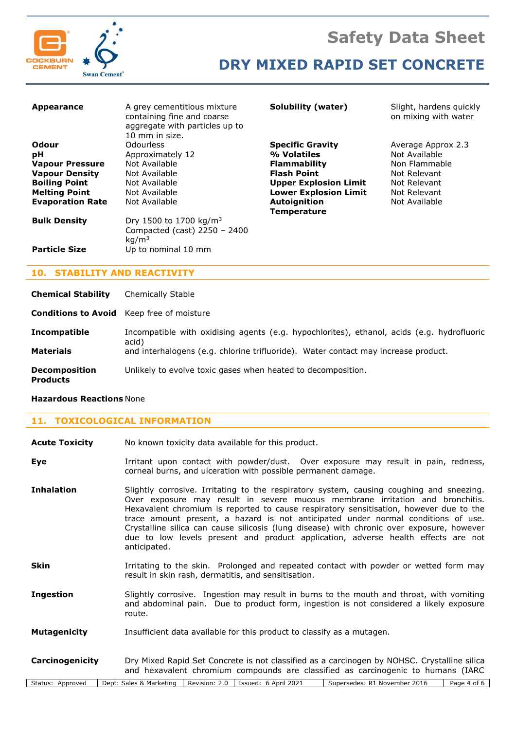

# **Safety Data Sheet**

# **DRY MIXED RAPID SET CONCRETE**

| Appearance              | A grey cementitious mixture<br>containing fine and coarse<br>aggregate with particles up to<br>10 mm in size. | Solubility (water)           | Slight, hardens guickly<br>on mixing with water |
|-------------------------|---------------------------------------------------------------------------------------------------------------|------------------------------|-------------------------------------------------|
| Odour                   | <b>Odourless</b>                                                                                              | <b>Specific Gravity</b>      | Average Approx 2.3                              |
| рH                      | Approximately 12                                                                                              | % Volatiles                  | Not Available                                   |
| <b>Vapour Pressure</b>  | Not Available                                                                                                 | <b>Flammability</b>          | Non Flammable                                   |
| <b>Vapour Density</b>   | Not Available                                                                                                 | <b>Flash Point</b>           | Not Relevant                                    |
| <b>Boiling Point</b>    | Not Available                                                                                                 | <b>Upper Explosion Limit</b> | Not Relevant                                    |
| <b>Melting Point</b>    | Not Available                                                                                                 | <b>Lower Explosion Limit</b> | Not Relevant                                    |
| <b>Evaporation Rate</b> | Not Available                                                                                                 | <b>Autoignition</b>          | Not Available                                   |
|                         |                                                                                                               | <b>Temperature</b>           |                                                 |
| <b>Bulk Density</b>     | Dry 1500 to 1700 kg/m <sup>3</sup><br>Compacted (cast) 2250 - 2400                                            |                              |                                                 |
|                         | kg/m <sup>3</sup>                                                                                             |                              |                                                 |
| <b>Particle Size</b>    | Up to nominal 10 mm                                                                                           |                              |                                                 |

# **10. STABILITY AND REACTIVITY**

**Chemical Stability** Chemically Stable

**Conditions to Avoid** Keep free of moisture

**Incompatible** Incompatible with oxidising agents (e.g. hypochlorites), ethanol, acids (e.g. hydrofluoric acid) **Materials** and interhalogens (e.g. chlorine trifluoride). Water contact may increase product. **Decomposition** Unlikely to evolve toxic gases when heated to decomposition. **Products**

### **Hazardous Reactions** None

 $\mathsf I$ 

## **11. TOXICOLOGICAL INFORMATION**

| <b>Acute Toxicity</b> | No known toxicity data available for this product.                                                                                                                                                                                                                                                                                                                                                                                                                                                                                                         |  |  |
|-----------------------|------------------------------------------------------------------------------------------------------------------------------------------------------------------------------------------------------------------------------------------------------------------------------------------------------------------------------------------------------------------------------------------------------------------------------------------------------------------------------------------------------------------------------------------------------------|--|--|
| Eye                   | Irritant upon contact with powder/dust. Over exposure may result in pain, redness,<br>corneal burns, and ulceration with possible permanent damage.                                                                                                                                                                                                                                                                                                                                                                                                        |  |  |
| <b>Inhalation</b>     | Slightly corrosive. Irritating to the respiratory system, causing coughing and sneezing.<br>Over exposure may result in severe mucous membrane irritation and bronchitis.<br>Hexavalent chromium is reported to cause respiratory sensitisation, however due to the<br>trace amount present, a hazard is not anticipated under normal conditions of use.<br>Crystalline silica can cause silicosis (lung disease) with chronic over exposure, however<br>due to low levels present and product application, adverse health effects are not<br>anticipated. |  |  |
| Skin                  | Irritating to the skin. Prolonged and repeated contact with powder or wetted form may<br>result in skin rash, dermatitis, and sensitisation.                                                                                                                                                                                                                                                                                                                                                                                                               |  |  |
| <b>Ingestion</b>      | Slightly corrosive. Ingestion may result in burns to the mouth and throat, with vomiting<br>and abdominal pain. Due to product form, ingestion is not considered a likely exposure<br>route.                                                                                                                                                                                                                                                                                                                                                               |  |  |
| <b>Mutagenicity</b>   | Insufficient data available for this product to classify as a mutagen.                                                                                                                                                                                                                                                                                                                                                                                                                                                                                     |  |  |
| Carcinogenicity       | Dry Mixed Rapid Set Concrete is not classified as a carcinogen by NOHSC. Crystalline silica<br>and hexavalent chromium compounds are classified as carcinogenic to humans (IARC                                                                                                                                                                                                                                                                                                                                                                            |  |  |
| Status: Approved      | Revision: 2.0<br>Issued: 6 April 2021<br>Supersedes: R1 November 2016<br>Dept: Sales & Marketing<br>Page 4 of 6                                                                                                                                                                                                                                                                                                                                                                                                                                            |  |  |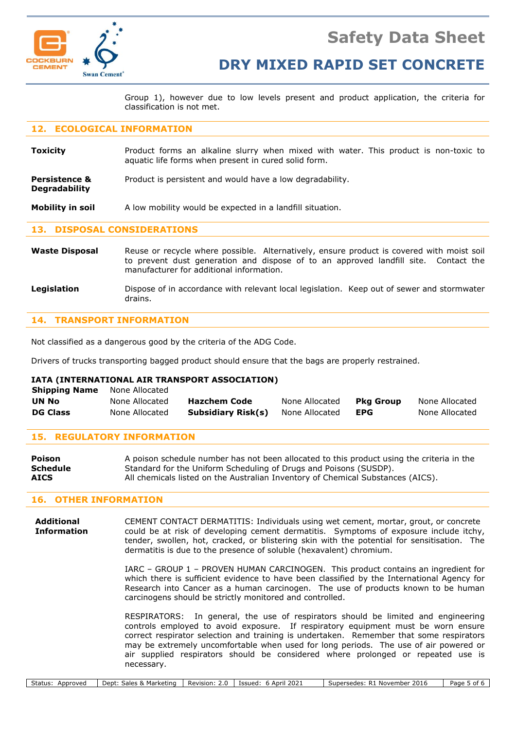

**Degradability**

# **DRY MIXED RAPID SET CONCRETE**

Group 1), however due to low levels present and product application, the criteria for classification is not met.

### **12. ECOLOGICAL INFORMATION**

**Toxicity Product forms an alkaline slurry when mixed with water. This product is non-toxic to** aquatic life forms when present in cured solid form.

**Persistence &** Product is persistent and would have a low degradability.

**Mobility in soil** A low mobility would be expected in a landfill situation.

### **13. DISPOSAL CONSIDERATIONS**

Waste Disposal Reuse or recycle where possible. Alternatively, ensure product is covered with moist soil to prevent dust generation and dispose of to an approved landfill site. Contact the manufacturer for additional information.

**Legislation** Dispose of in accordance with relevant local legislation. Keep out of sewer and stormwater drains.

## **14. TRANSPORT INFORMATION**

Not classified as a dangerous good by the criteria of the ADG Code.

Drivers of trucks transporting bagged product should ensure that the bags are properly restrained.

#### **IATA (INTERNATIONAL AIR TRANSPORT ASSOCIATION)**

necessary.

| <b>Shipping Name</b> | None Allocated |                           |                |                  |                |
|----------------------|----------------|---------------------------|----------------|------------------|----------------|
| UN No                | None Allocated | <b>Hazchem Code</b>       | None Allocated | <b>Pkg Group</b> | None Allocated |
| <b>DG Class</b>      | None Allocated | <b>Subsidiary Risk(s)</b> | None Allocated | <b>EPG</b>       | None Allocated |

### **15. REGULATORY INFORMATION**

| Poison      | A poison schedule number has not been allocated to this product using the criteria in the |
|-------------|-------------------------------------------------------------------------------------------|
| Schedule    | Standard for the Uniform Scheduling of Drugs and Poisons (SUSDP).                         |
| <b>AICS</b> | All chemicals listed on the Australian Inventory of Chemical Substances (AICS).           |

### **16. OTHER INFORMATION**

**Additional** CEMENT CONTACT DERMATITIS: Individuals using wet cement, mortar, grout, or concrete **Information** could be at risk of developing cement dermatitis. Symptoms of exposure include itchy, tender, swollen, hot, cracked, or blistering skin with the potential for sensitisation. The dermatitis is due to the presence of soluble (hexavalent) chromium. IARC – GROUP 1 – PROVEN HUMAN CARCINOGEN. This product contains an ingredient for which there is sufficient evidence to have been classified by the International Agency for Research into Cancer as a human carcinogen. The use of products known to be human carcinogens should be strictly monitored and controlled. RESPIRATORS: In general, the use of respirators should be limited and engineering controls employed to avoid exposure. If respiratory equipment must be worn ensure correct respirator selection and training is undertaken. Remember that some respirators may be extremely uncomfortable when used for long periods. The use of air powered or

air supplied respirators should be considered where prolonged or repeated use is